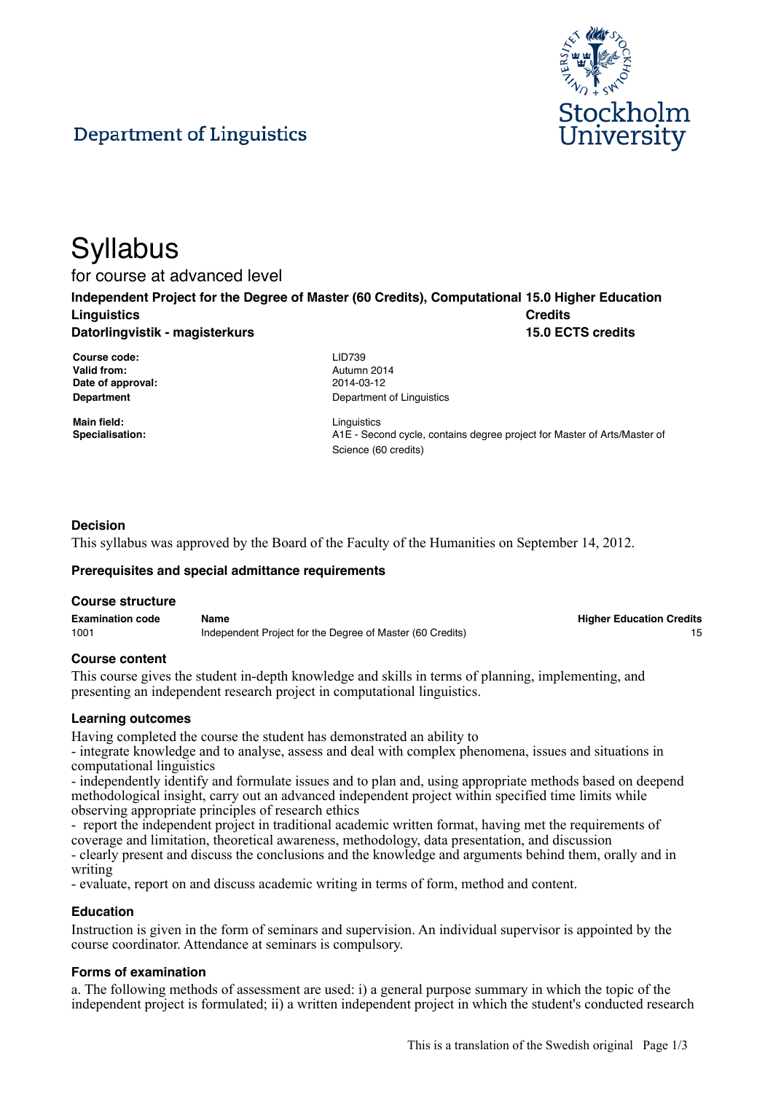

# Department of Linguistics

# **Syllabus**

for course at advanced level

**Independent Project for the Degree of Master (60 Credits), Computational 15.0 Higher Education Linguistics Datorlingvistik - magisterkurs Credits 15.0 ECTS credits**

**Course code:** LID739 **Valid from:** Autumn 2014 **Date of approval:** 2014-03-12

**Main field:** Linguistics

**Department** Department **Department** of Linguistics

**Specialisation:** A1E - Second cycle, contains degree project for Master of Arts/Master of Science (60 credits)

## **Decision**

This syllabus was approved by the Board of the Faculty of the Humanities on September 14, 2012.

#### **Prerequisites and special admittance requirements**

#### **Course structure**

| <b>Examination code</b> | Name                                                      | <b>Higher Education Credits</b> |
|-------------------------|-----------------------------------------------------------|---------------------------------|
| 1001                    | Independent Project for the Degree of Master (60 Credits) |                                 |

#### **Course content**

This course gives the student in-depth knowledge and skills in terms of planning, implementing, and presenting an independent research project in computational linguistics.

#### **Learning outcomes**

Having completed the course the student has demonstrated an ability to

- integrate knowledge and to analyse, assess and deal with complex phenomena, issues and situations in computational linguistics

- independently identify and formulate issues and to plan and, using appropriate methods based on deepend methodological insight, carry out an advanced independent project within specified time limits while observing appropriate principles of research ethics

- report the independent project in traditional academic written format, having met the requirements of coverage and limitation, theoretical awareness, methodology, data presentation, and discussion

- clearly present and discuss the conclusions and the knowledge and arguments behind them, orally and in writing

- evaluate, report on and discuss academic writing in terms of form, method and content.

#### **Education**

Instruction is given in the form of seminars and supervision. An individual supervisor is appointed by the course coordinator. Attendance at seminars is compulsory.

#### **Forms of examination**

a. The following methods of assessment are used: i) a general purpose summary in which the topic of the independent project is formulated; ii) a written independent project in which the student's conducted research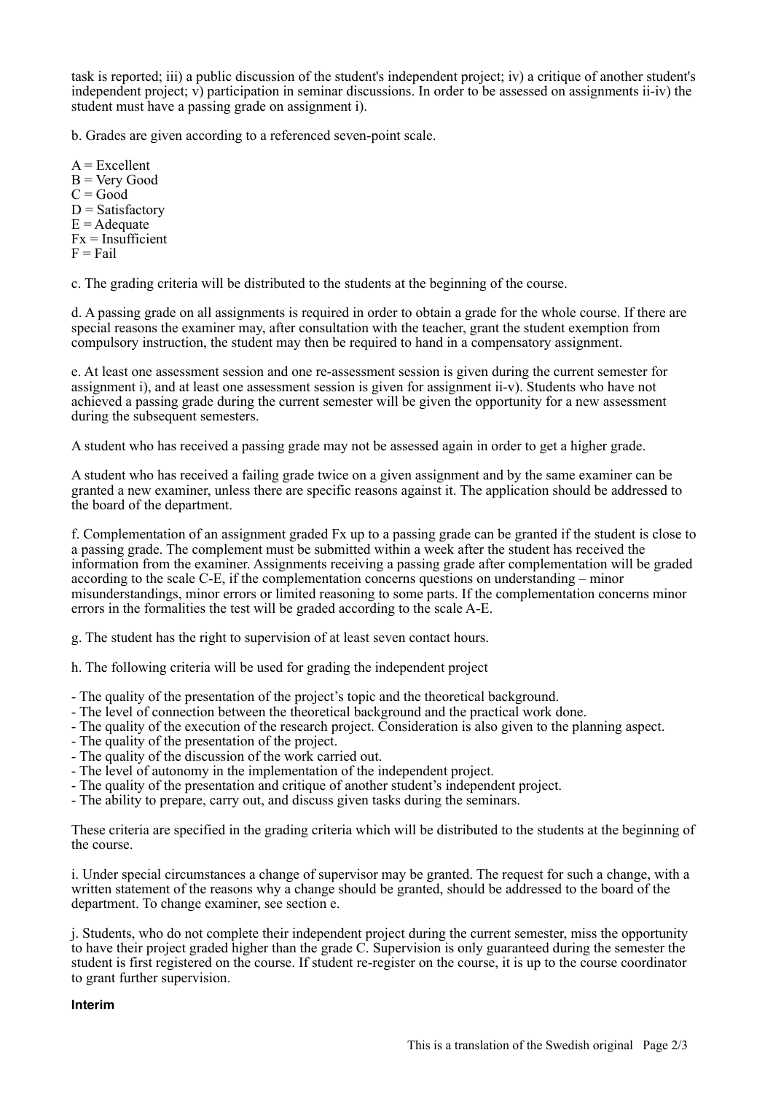task is reported; iii) a public discussion of the student's independent project; iv) a critique of another student's independent project; v) participation in seminar discussions. In order to be assessed on assignments ii-iv) the student must have a passing grade on assignment i).

b. Grades are given according to a referenced seven-point scale.

 $A = Excellent$ B = Very Good  $C = Good$  $D = Satisfactory$  $E =$  Adequate  $Fx = Insufficient$  $F = Fail$ 

c. The grading criteria will be distributed to the students at the beginning of the course.

d. A passing grade on all assignments is required in order to obtain a grade for the whole course. If there are special reasons the examiner may, after consultation with the teacher, grant the student exemption from compulsory instruction, the student may then be required to hand in a compensatory assignment.

e. At least one assessment session and one re-assessment session is given during the current semester for assignment i), and at least one assessment session is given for assignment ii-v). Students who have not achieved a passing grade during the current semester will be given the opportunity for a new assessment during the subsequent semesters.

A student who has received a passing grade may not be assessed again in order to get a higher grade.

A student who has received a failing grade twice on a given assignment and by the same examiner can be granted a new examiner, unless there are specific reasons against it. The application should be addressed to the board of the department.

f. Complementation of an assignment graded Fx up to a passing grade can be granted if the student is close to a passing grade. The complement must be submitted within a week after the student has received the information from the examiner. Assignments receiving a passing grade after complementation will be graded according to the scale C-E, if the complementation concerns questions on understanding – minor misunderstandings, minor errors or limited reasoning to some parts. If the complementation concerns minor errors in the formalities the test will be graded according to the scale A-E.

g. The student has the right to supervision of at least seven contact hours.

h. The following criteria will be used for grading the independent project

- The quality of the presentation of the project's topic and the theoretical background.

- The level of connection between the theoretical background and the practical work done.
- The quality of the execution of the research project. Consideration is also given to the planning aspect.
- The quality of the presentation of the project.
- The quality of the discussion of the work carried out.
- The level of autonomy in the implementation of the independent project.
- The quality of the presentation and critique of another student's independent project.
- The ability to prepare, carry out, and discuss given tasks during the seminars.

These criteria are specified in the grading criteria which will be distributed to the students at the beginning of the course.

i. Under special circumstances a change of supervisor may be granted. The request for such a change, with a written statement of the reasons why a change should be granted, should be addressed to the board of the department. To change examiner, see section e.

j. Students, who do not complete their independent project during the current semester, miss the opportunity to have their project graded higher than the grade C. Supervision is only guaranteed during the semester the student is first registered on the course. If student re-register on the course, it is up to the course coordinator to grant further supervision.

#### **Interim**